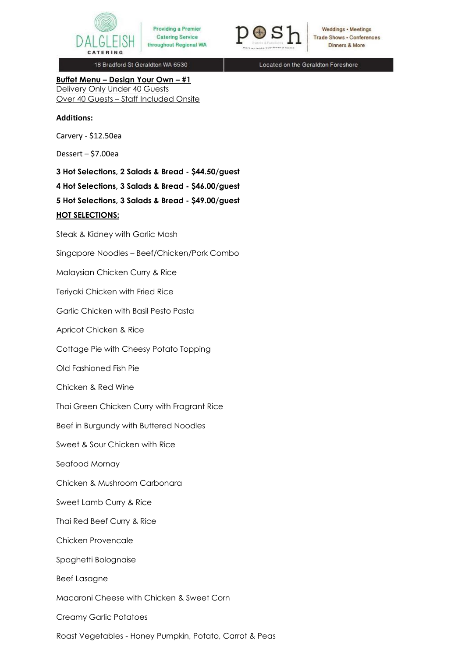



Weddings • Meetings **Trade Shows . Conferences** Dinners & More

18 Bradford St Geraldton WA 6530

Located on the Geraldton Foreshore

**Buffet Menu – Design Your Own – #1**  Delivery Only Under 40 Guests Over 40 Guests – Staff Included Onsite

#### **Additions:**

Carvery - \$12.50ea

Dessert – \$7.00ea

**3 Hot Selections, 2 Salads & Bread - \$44.50/guest 4 Hot Selections, 3 Salads & Bread - \$46.00/guest 5 Hot Selections, 3 Salads & Bread - \$49.00/guest HOT SELECTIONS:** 

Steak & Kidney with Garlic Mash

Singapore Noodles – Beef/Chicken/Pork Combo

Malaysian Chicken Curry & Rice

Teriyaki Chicken with Fried Rice

Garlic Chicken with Basil Pesto Pasta

Apricot Chicken & Rice

Cottage Pie with Cheesy Potato Topping

Old Fashioned Fish Pie

Chicken & Red Wine

Thai Green Chicken Curry with Fragrant Rice

Beef in Burgundy with Buttered Noodles

Sweet & Sour Chicken with Rice

Seafood Mornay

Chicken & Mushroom Carbonara

Sweet Lamb Curry & Rice

Thai Red Beef Curry & Rice

Chicken Provencale

Spaghetti Bolognaise

Beef Lasagne

Macaroni Cheese with Chicken & Sweet Corn

Creamy Garlic Potatoes

Roast Vegetables - Honey Pumpkin, Potato, Carrot & Peas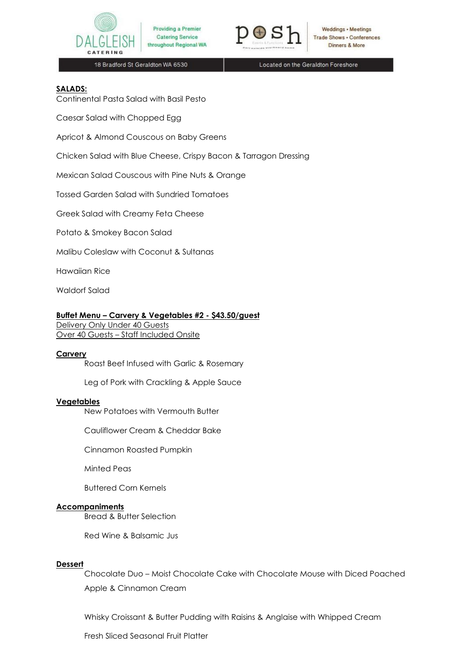



Weddings • Meetings **Trade Shows . Conferences** Dinners & More

18 Bradford St Geraldton WA 6530

Located on the Geraldton Foreshore

### **SALADS:**

Continental Pasta Salad with Basil Pesto

Caesar Salad with Chopped Egg

Apricot & Almond Couscous on Baby Greens

Chicken Salad with Blue Cheese, Crispy Bacon & Tarragon Dressing

Mexican Salad Couscous with Pine Nuts & Orange

Tossed Garden Salad with Sundried Tomatoes

Greek Salad with Creamy Feta Cheese

Potato & Smokey Bacon Salad

Malibu Coleslaw with Coconut & Sultanas

Hawaiian Rice

Waldorf Salad

#### **Buffet Menu – Carvery & Vegetables #2 - \$43.50/guest**

Delivery Only Under 40 Guests Over 40 Guests – Staff Included Onsite

### **Carvery**

Roast Beef Infused with Garlic & Rosemary

Leg of Pork with Crackling & Apple Sauce

#### **Vegetables**

New Potatoes with Vermouth Butter

Cauliflower Cream & Cheddar Bake

Cinnamon Roasted Pumpkin

Minted Peas

Buttered Corn Kernels

#### **Accompaniments**

Bread & Butter Selection

Red Wine & Balsamic Jus

#### **Dessert**

Chocolate Duo – Moist Chocolate Cake with Chocolate Mouse with Diced Poached Apple & Cinnamon Cream

Whisky Croissant & Butter Pudding with Raisins & Anglaise with Whipped Cream

Fresh Sliced Seasonal Fruit Platter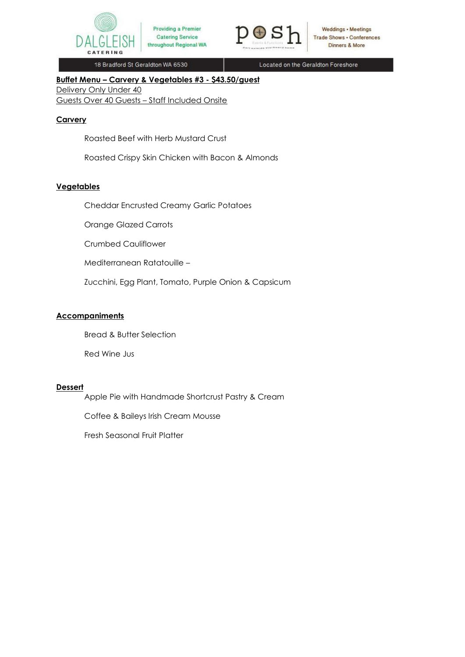



Located on the Geraldton Foreshore

# **Buffet Menu – Carvery & Vegetables #3 - \$43.50/guest**

Delivery Only Under 40

Guests Over 40 Guests – Staff Included Onsite

### **Carvery**

Roasted Beef with Herb Mustard Crust

Roasted Crispy Skin Chicken with Bacon & Almonds

# **Vegetables**

Cheddar Encrusted Creamy Garlic Potatoes

Orange Glazed Carrots

Crumbed Cauliflower

Mediterranean Ratatouille –

Zucchini, Egg Plant, Tomato, Purple Onion & Capsicum

# **Accompaniments**

Bread & Butter Selection

Red Wine Jus

### **Dessert**

Apple Pie with Handmade Shortcrust Pastry & Cream

Coffee & Baileys Irish Cream Mousse

Fresh Seasonal Fruit Platter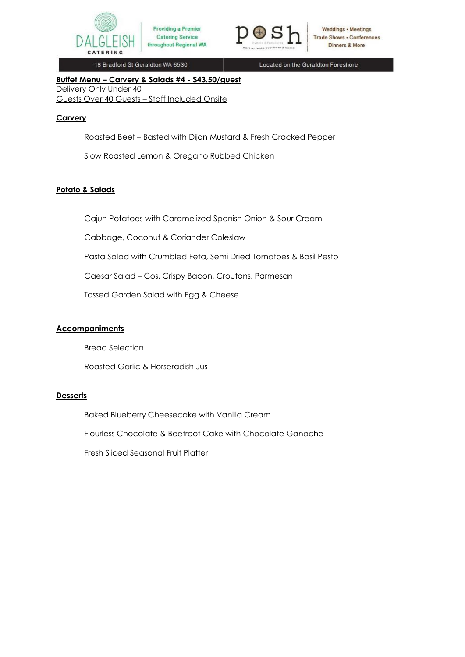



Located on the Geraldton Foreshore

**Buffet Menu – Carvery & Salads #4 - \$43.50/guest**  Delivery Only Under 40 Guests Over 40 Guests – Staff Included Onsite

# **Carvery**

Roasted Beef – Basted with Dijon Mustard & Fresh Cracked Pepper

Slow Roasted Lemon & Oregano Rubbed Chicken

# **Potato & Salads**

Cajun Potatoes with Caramelized Spanish Onion & Sour Cream

Cabbage, Coconut & Coriander Coleslaw

Pasta Salad with Crumbled Feta, Semi Dried Tomatoes & Basil Pesto

Caesar Salad – Cos, Crispy Bacon, Croutons, Parmesan

Tossed Garden Salad with Egg & Cheese

### **Accompaniments**

Bread Selection

Roasted Garlic & Horseradish Jus

# **Desserts**

Baked Blueberry Cheesecake with Vanilla Cream Flourless Chocolate & Beetroot Cake with Chocolate Ganache Fresh Sliced Seasonal Fruit Platter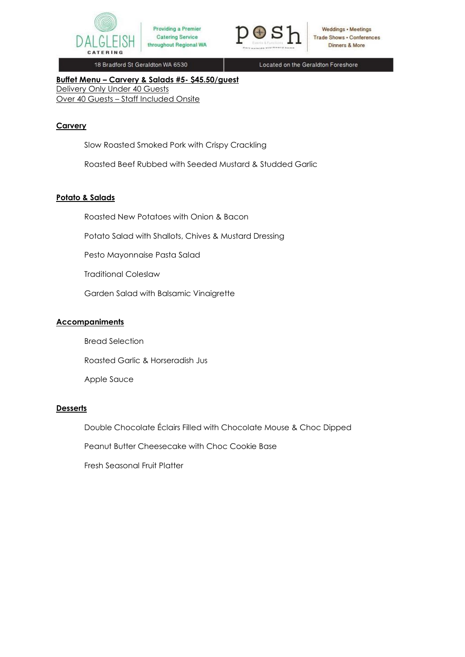



Located on the Geraldton Foreshore

**Buffet Menu – Carvery & Salads #5- \$45.50/guest** Delivery Only Under 40 Guests Over 40 Guests – Staff Included Onsite

# **Carvery**

Slow Roasted Smoked Pork with Crispy Crackling

Roasted Beef Rubbed with Seeded Mustard & Studded Garlic

# **Potato & Salads**

Roasted New Potatoes with Onion & Bacon

Potato Salad with Shallots, Chives & Mustard Dressing

Pesto Mayonnaise Pasta Salad

Traditional Coleslaw

Garden Salad with Balsamic Vinaigrette

# **Accompaniments**

Bread Selection

Roasted Garlic & Horseradish Jus

Apple Sauce

# **Desserts**

Double Chocolate Éclairs Filled with Chocolate Mouse & Choc Dipped

Peanut Butter Cheesecake with Choc Cookie Base

Fresh Seasonal Fruit Platter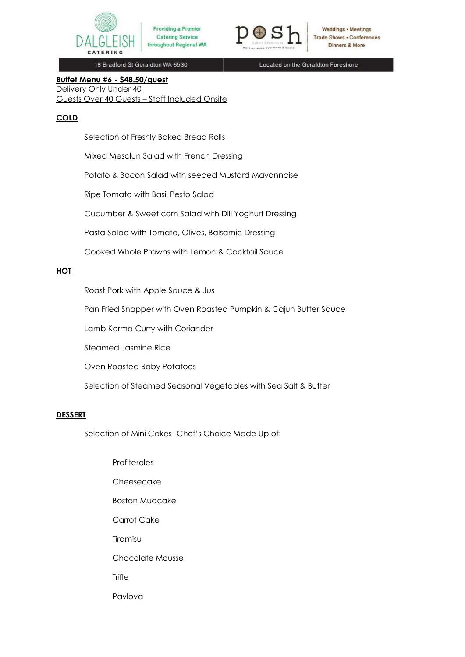



Weddings • Meetings **Trade Shows . Conferences** Dinners & More

18 Bradford St Geraldton WA 6530

Located on the Geraldton Foreshore

# **Buffet Menu #6 - \$48.50/guest**

Delivery Only Under 40 Guests Over 40 Guests – Staff Included Onsite

# **COLD**

Selection of Freshly Baked Bread Rolls

Mixed Mesclun Salad with French Dressing

Potato & Bacon Salad with seeded Mustard Mayonnaise

Ripe Tomato with Basil Pesto Salad

Cucumber & Sweet corn Salad with Dill Yoghurt Dressing

Pasta Salad with Tomato, Olives, Balsamic Dressing

Cooked Whole Prawns with Lemon & Cocktail Sauce

# **HOT**

Roast Pork with Apple Sauce & Jus

Pan Fried Snapper with Oven Roasted Pumpkin & Cajun Butter Sauce

Lamb Korma Curry with Coriander

Steamed Jasmine Rice

Oven Roasted Baby Potatoes

Selection of Steamed Seasonal Vegetables with Sea Salt & Butter

### **DESSERT**

Selection of Mini Cakes- Chef's Choice Made Up of:

Profiteroles Cheesecake Boston Mudcake Carrot Cake Tiramisu Chocolate Mousse **Trifle** Pavlova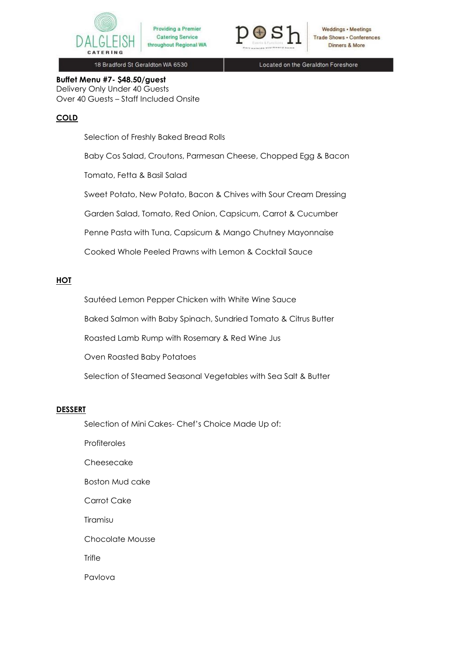



Weddings • Meetings **Trade Shows . Conferences** Dinners & More

18 Bradford St Geraldton WA 6530

Located on the Geraldton Foreshore

**Buffet Menu #7- \$48.50/guest** Delivery Only Under 40 Guests Over 40 Guests – Staff Included Onsite

# **COLD**

Selection of Freshly Baked Bread Rolls

Baby Cos Salad, Croutons, Parmesan Cheese, Chopped Egg & Bacon

Tomato, Fetta & Basil Salad

Sweet Potato, New Potato, Bacon & Chives with Sour Cream Dressing

Garden Salad, Tomato, Red Onion, Capsicum, Carrot & Cucumber

Penne Pasta with Tuna, Capsicum & Mango Chutney Mayonnaise

Cooked Whole Peeled Prawns with Lemon & Cocktail Sauce

# **HOT**

Sautéed Lemon Pepper Chicken with White Wine Sauce

Baked Salmon with Baby Spinach, Sundried Tomato & Citrus Butter

Roasted Lamb Rump with Rosemary & Red Wine Jus

Oven Roasted Baby Potatoes

Selection of Steamed Seasonal Vegetables with Sea Salt & Butter

### **DESSERT**

Selection of Mini Cakes- Chef's Choice Made Up of:

**Profiteroles** 

Cheesecake

Boston Mud cake

Carrot Cake

**Tiramisu** 

Chocolate Mousse

**Trifle** 

Pavlova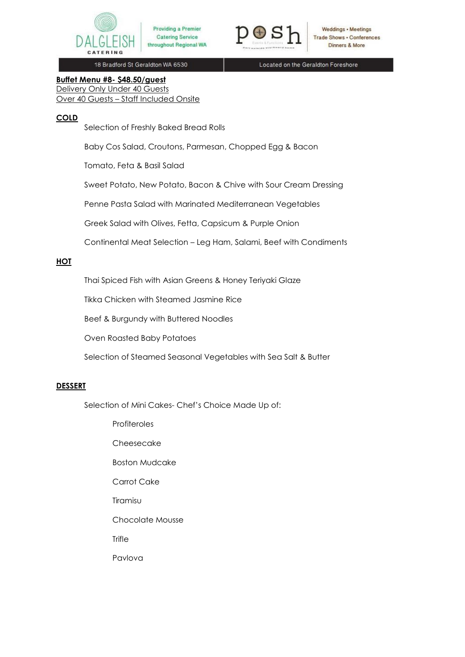



Weddings • Meetings **Trade Shows . Conferences** Dinners & More

18 Bradford St Geraldton WA 6530

Located on the Geraldton Foreshore

# **Buffet Menu #8- \$48.50/guest**  Delivery Only Under 40 Guests Over 40 Guests – Staff Included Onsite

# **COLD**

Selection of Freshly Baked Bread Rolls

Baby Cos Salad, Croutons, Parmesan, Chopped Egg & Bacon

Tomato, Feta & Basil Salad

Sweet Potato, New Potato, Bacon & Chive with Sour Cream Dressing

Penne Pasta Salad with Marinated Mediterranean Vegetables

Greek Salad with Olives, Fetta, Capsicum & Purple Onion

Continental Meat Selection – Leg Ham, Salami, Beef with Condiments

# **HOT**

Thai Spiced Fish with Asian Greens & Honey Teriyaki Glaze

Tikka Chicken with Steamed Jasmine Rice

Beef & Burgundy with Buttered Noodles

Oven Roasted Baby Potatoes

Selection of Steamed Seasonal Vegetables with Sea Salt & Butter

### **DESSERT**

Selection of Mini Cakes- Chef's Choice Made Up of:

**Profiteroles** 

Cheesecake

Boston Mudcake

Carrot Cake

Tiramisu

Chocolate Mousse

**Trifle** 

Pavlova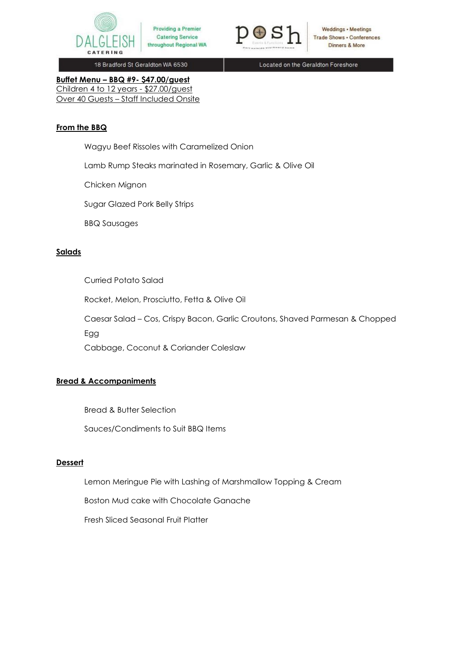



**Weddings • Meetings Trade Shows . Conferences** Dinners & More

18 Bradford St Geraldton WA 6530

Located on the Geraldton Foreshore

**Buffet Menu – BBQ #9- \$47.00/guest** Children 4 to 12 years - \$27.00/guest Over 40 Guests – Staff Included Onsite

# **From the BBQ**

Wagyu Beef Rissoles with Caramelized Onion

Lamb Rump Steaks marinated in Rosemary, Garlic & Olive Oil

Chicken Mignon

Sugar Glazed Pork Belly Strips

BBQ Sausages

# **Salads**

Curried Potato Salad

Rocket, Melon, Prosciutto, Fetta & Olive Oil

Caesar Salad – Cos, Crispy Bacon, Garlic Croutons, Shaved Parmesan & Chopped

Egg

Cabbage, Coconut & Coriander Coleslaw

### **Bread & Accompaniments**

Bread & Butter Selection

Sauces/Condiments to Suit BBQ Items

### **Dessert**

Lemon Meringue Pie with Lashing of Marshmallow Topping & Cream

Boston Mud cake with Chocolate Ganache

Fresh Sliced Seasonal Fruit Platter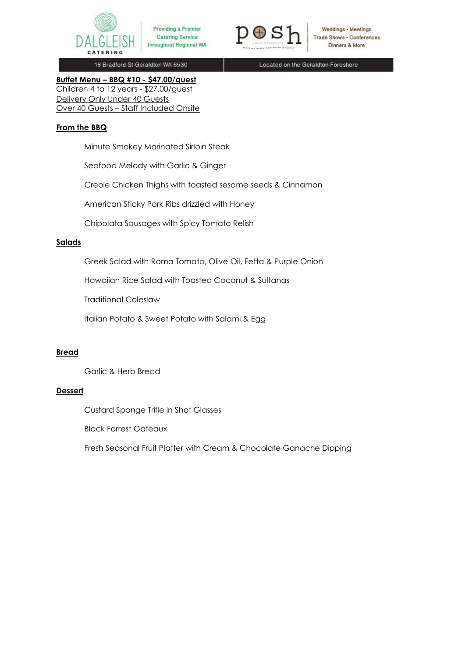



Weddings • Meetings **Trade Shows . Conferences** Dinners & More

18 Bradford St Geraldton WA 6530

Located on the Geraldton Foreshore

**Buffet Menu – BBQ #10 - \$47.00/guest**  Children 4 to 12 years - \$27.00/guest Delivery Only Under 40 Guests Over 40 Guests – Staff Included Onsite

# **From the BBQ**

Minute Smokey Marinated Sirloin Steak

Seafood Melody with Garlic & Ginger

Creole Chicken Thighs with toasted sesame seeds & Cinnamon

American Sticky Pork Ribs drizzled with Honey

Chipolata Sausages with Spicy Tomato Relish

### **Salads**

Greek Salad with Roma Tomato, Olive Oil, Fetta & Purple Onion

Hawaiian Rice Salad with Toasted Coconut & Sultanas

Traditional Coleslaw

Italian Potato & Sweet Potato with Salami & Egg

# **Bread**

Garlic & Herb Bread

# **Dessert**

Custard Sponge Trifle in Shot Glasses

Black Forrest Gateaux

Fresh Seasonal Fruit Platter with Cream & Chocolate Ganache Dipping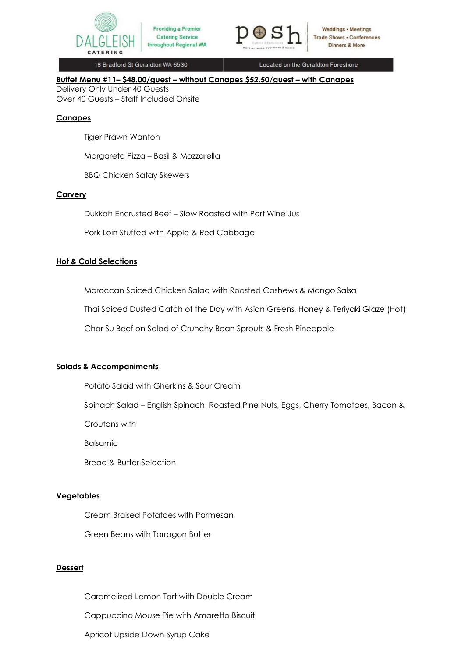



Located on the Geraldton Foreshore

**Buffet Menu #11– \$48.00/guest – without Canapes \$52.50/guest – with Canapes**  Delivery Only Under 40 Guests

Over 40 Guests – Staff Included Onsite

# **Canapes**

Tiger Prawn Wanton

Margareta Pizza – Basil & Mozzarella

BBQ Chicken Satay Skewers

# **Carvery**

Dukkah Encrusted Beef – Slow Roasted with Port Wine Jus

Pork Loin Stuffed with Apple & Red Cabbage

# **Hot & Cold Selections**

Moroccan Spiced Chicken Salad with Roasted Cashews & Mango Salsa

Thai Spiced Dusted Catch of the Day with Asian Greens, Honey & Teriyaki Glaze (Hot)

Char Su Beef on Salad of Crunchy Bean Sprouts & Fresh Pineapple

# **Salads & Accompaniments**

Potato Salad with Gherkins & Sour Cream

Spinach Salad – English Spinach, Roasted Pine Nuts, Eggs, Cherry Tomatoes, Bacon &

Croutons with

Balsamic

Bread & Butter Selection

# **Vegetables**

Cream Braised Potatoes with Parmesan

Green Beans with Tarragon Butter

# **Dessert**

Caramelized Lemon Tart with Double Cream

Cappuccino Mouse Pie with Amaretto Biscuit

Apricot Upside Down Syrup Cake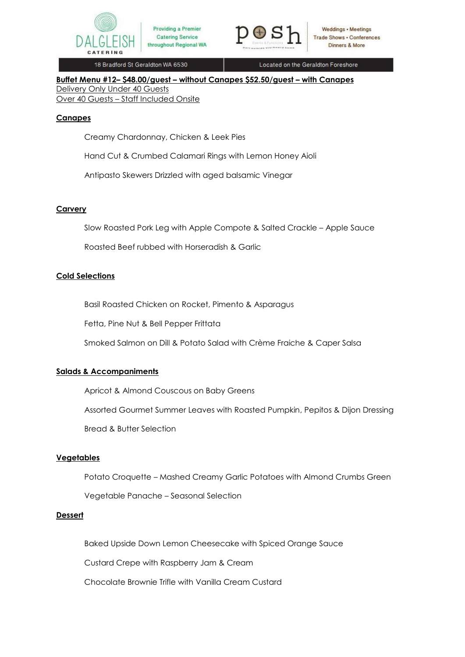



Located on the Geraldton Foreshore

**Buffet Menu #12– \$48.00/guest – without Canapes \$52.50/guest – with Canapes** Delivery Only Under 40 Guests Over 40 Guests – Staff Included Onsite

#### **Canapes**

Creamy Chardonnay, Chicken & Leek Pies

Hand Cut & Crumbed Calamari Rings with Lemon Honey Aioli

Antipasto Skewers Drizzled with aged balsamic Vinegar

#### **Carvery**

Slow Roasted Pork Leg with Apple Compote & Salted Crackle – Apple Sauce

Roasted Beef rubbed with Horseradish & Garlic

#### **Cold Selections**

Basil Roasted Chicken on Rocket, Pimento & Asparagus

Fetta, Pine Nut & Bell Pepper Frittata

Smoked Salmon on Dill & Potato Salad with Crème Fraiche & Caper Salsa

### **Salads & Accompaniments**

Apricot & Almond Couscous on Baby Greens

Assorted Gourmet Summer Leaves with Roasted Pumpkin, Pepitos & Dijon Dressing

Bread & Butter Selection

#### **Vegetables**

Potato Croquette – Mashed Creamy Garlic Potatoes with Almond Crumbs Green

Vegetable Panache – Seasonal Selection

#### **Dessert**

Baked Upside Down Lemon Cheesecake with Spiced Orange Sauce

Custard Crepe with Raspberry Jam & Cream

Chocolate Brownie Trifle with Vanilla Cream Custard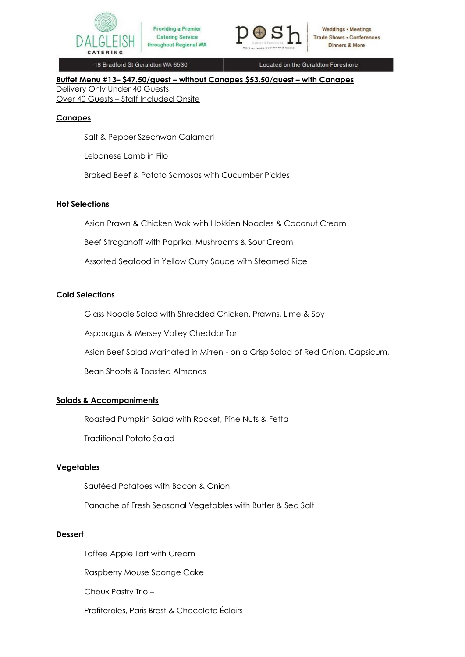



Located on the Geraldton Foreshore

**Buffet Menu #13– \$47.50/guest – without Canapes \$53.50/guest – with Canapes**  Delivery Only Under 40 Guests Over 40 Guests – Staff Included Onsite

#### **Canapes**

Salt & Pepper Szechwan Calamari

Lebanese Lamb in Filo

Braised Beef & Potato Samosas with Cucumber Pickles

**Catering Service** 

#### **Hot Selections**

Asian Prawn & Chicken Wok with Hokkien Noodles & Coconut Cream

Beef Stroganoff with Paprika, Mushrooms & Sour Cream

Assorted Seafood in Yellow Curry Sauce with Steamed Rice

#### **Cold Selections**

Glass Noodle Salad with Shredded Chicken, Prawns, Lime & Soy

Asparagus & Mersey Valley Cheddar Tart

Asian Beef Salad Marinated in Mirren - on a Crisp Salad of Red Onion, Capsicum,

Bean Shoots & Toasted Almonds

### **Salads & Accompaniments**

Roasted Pumpkin Salad with Rocket, Pine Nuts & Fetta Traditional Potato Salad

### **Vegetables**

Sautéed Potatoes with Bacon & Onion

Panache of Fresh Seasonal Vegetables with Butter & Sea Salt

#### **Dessert**

Toffee Apple Tart with Cream

Raspberry Mouse Sponge Cake

Choux Pastry Trio –

Profiteroles, Paris Brest & Chocolate Éclairs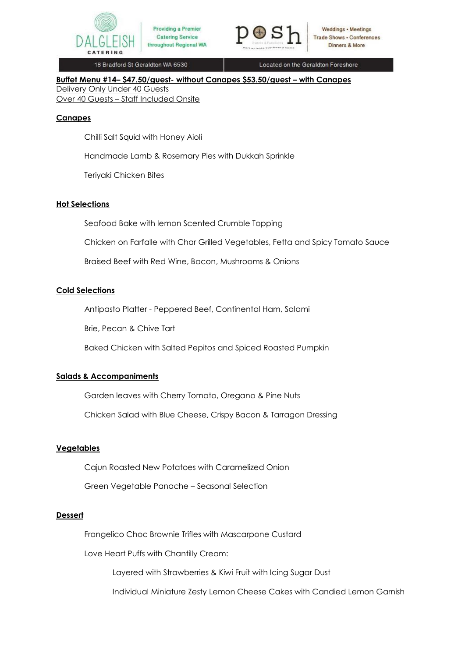



Located on the Geraldton Foreshore

**Buffet Menu #14– \$47.50/guest- without Canapes \$53.50/guest – with Canapes**  Delivery Only Under 40 Guests Over 40 Guests – Staff Included Onsite

#### **Canapes**

Chilli Salt Squid with Honey Aioli

Handmade Lamb & Rosemary Pies with Dukkah Sprinkle

**Catering Service** 

Teriyaki Chicken Bites

#### **Hot Selections**

Seafood Bake with lemon Scented Crumble Topping

Chicken on Farfalle with Char Grilled Vegetables, Fetta and Spicy Tomato Sauce

Braised Beef with Red Wine, Bacon, Mushrooms & Onions

#### **Cold Selections**

Antipasto Platter - Peppered Beef, Continental Ham, Salami

Brie, Pecan & Chive Tart

Baked Chicken with Salted Pepitos and Spiced Roasted Pumpkin

### **Salads & Accompaniments**

Garden leaves with Cherry Tomato, Oregano & Pine Nuts

Chicken Salad with Blue Cheese, Crispy Bacon & Tarragon Dressing

#### **Vegetables**

Cajun Roasted New Potatoes with Caramelized Onion

Green Vegetable Panache – Seasonal Selection

# **Dessert**

Frangelico Choc Brownie Trifles with Mascarpone Custard

Love Heart Puffs with Chantilly Cream:

Layered with Strawberries & Kiwi Fruit with Icing Sugar Dust

Individual Miniature Zesty Lemon Cheese Cakes with Candied Lemon Garnish